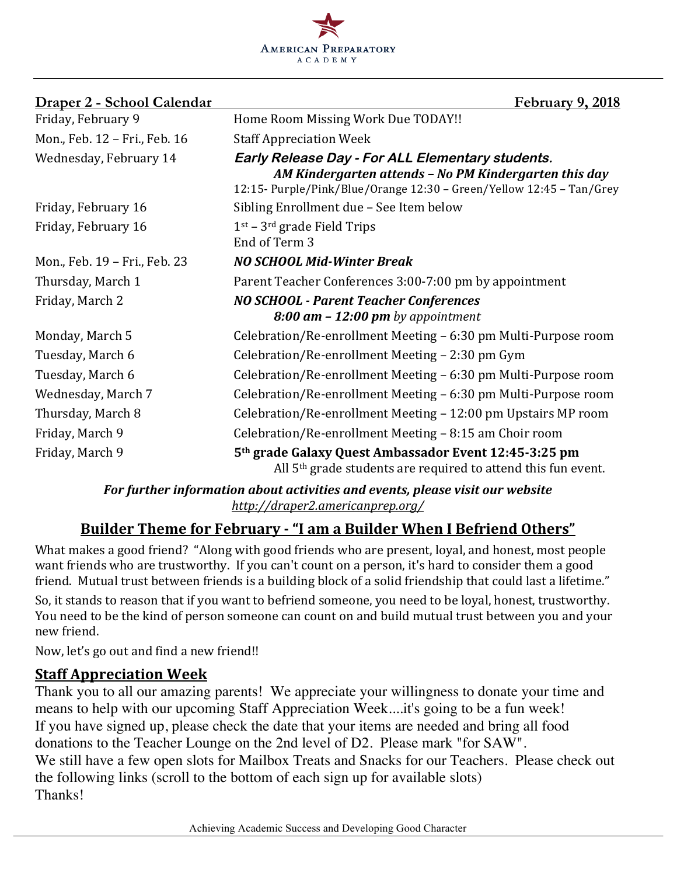

| Draper 2 - School Calendar    | <b>February 9, 2018</b>                                                                                                                                                           |
|-------------------------------|-----------------------------------------------------------------------------------------------------------------------------------------------------------------------------------|
| Friday, February 9            | Home Room Missing Work Due TODAY!!                                                                                                                                                |
| Mon., Feb. 12 - Fri., Feb. 16 | <b>Staff Appreciation Week</b>                                                                                                                                                    |
| Wednesday, February 14        | Early Release Day - For ALL Elementary students.<br>AM Kindergarten attends - No PM Kindergarten this day<br>12:15- Purple/Pink/Blue/Orange 12:30 - Green/Yellow 12:45 - Tan/Grey |
| Friday, February 16           | Sibling Enrollment due - See Item below                                                                                                                                           |
| Friday, February 16           | $1st - 3rd$ grade Field Trips<br>End of Term 3                                                                                                                                    |
| Mon., Feb. 19 - Fri., Feb. 23 | <b>NO SCHOOL Mid-Winter Break</b>                                                                                                                                                 |
| Thursday, March 1             | Parent Teacher Conferences 3:00-7:00 pm by appointment                                                                                                                            |
| Friday, March 2               | <b>NO SCHOOL - Parent Teacher Conferences</b><br>$8:00$ am $-12:00$ pm by appointment                                                                                             |
| Monday, March 5               | Celebration/Re-enrollment Meeting – 6:30 pm Multi-Purpose room                                                                                                                    |
| Tuesday, March 6              | Celebration/Re-enrollment Meeting - 2:30 pm Gym                                                                                                                                   |
| Tuesday, March 6              | Celebration/Re-enrollment Meeting – 6:30 pm Multi-Purpose room                                                                                                                    |
| Wednesday, March 7            | Celebration/Re-enrollment Meeting - 6:30 pm Multi-Purpose room                                                                                                                    |
| Thursday, March 8             | Celebration/Re-enrollment Meeting - 12:00 pm Upstairs MP room                                                                                                                     |
| Friday, March 9               | Celebration/Re-enrollment Meeting - 8:15 am Choir room                                                                                                                            |
| Friday, March 9               | 5th grade Galaxy Quest Ambassador Event 12:45-3:25 pm<br>All $5th$ grade students are required to attend this fun event.                                                          |

For further information about activities and events, please visit our website *http://draper2.americanprep.org/*

# **Builder Theme for February - "I am a Builder When I Befriend Others"**

What makes a good friend? "Along with good friends who are present, loyal, and honest, most people want friends who are trustworthy. If you can't count on a person, it's hard to consider them a good friend. Mutual trust between friends is a building block of a solid friendship that could last a lifetime."

So, it stands to reason that if you want to befriend someone, you need to be loyal, honest, trustworthy. You need to be the kind of person someone can count on and build mutual trust between you and your new friend.

Now, let's go out and find a new friend!!

# **Staff Appreciation Week**

Thank you to all our amazing parents! We appreciate your willingness to donate your time and means to help with our upcoming Staff Appreciation Week....it's going to be a fun week! If you have signed up, please check the date that your items are needed and bring all food donations to the Teacher Lounge on the 2nd level of D2. Please mark "for SAW". We still have a few open slots for Mailbox Treats and Snacks for our Teachers. Please check out the following links (scroll to the bottom of each sign up for available slots) Thanks!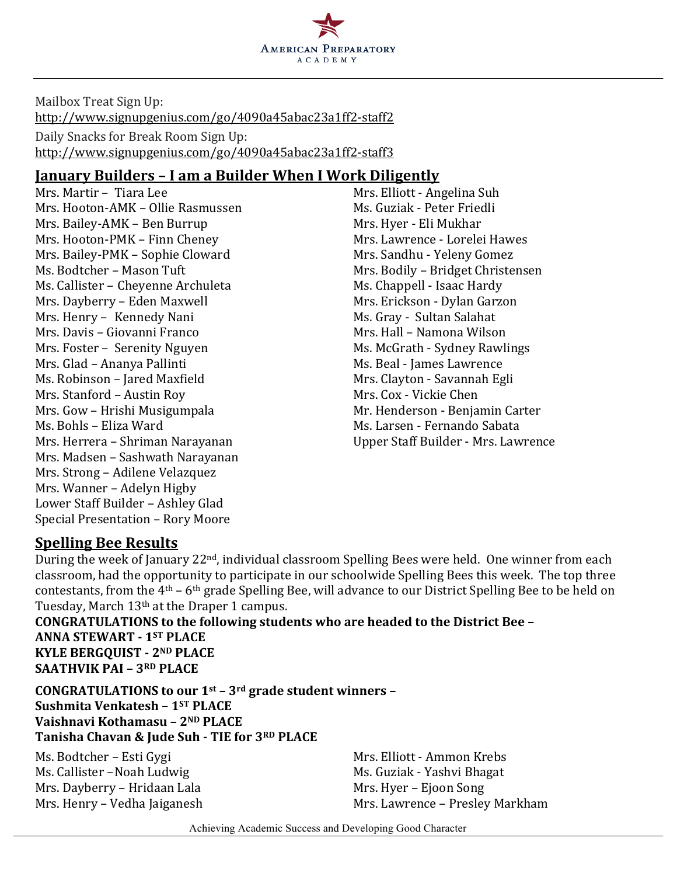

Mailbox Treat Sign Up: http://www.signupgenius.com/go/4090a45abac23a1ff2-staff2 Daily Snacks for Break Room Sign Up: http://www.signupgenius.com/go/4090a45abac23a1ff2-staff3

### **January Builders – I am a Builder When I Work Diligently**

Mrs. Martir – Tiara Lee Mrs. Elliott - Angelina Suh Mrs. Hooton-AMK – Ollie Rasmussen Ms. Guziak - Peter Friedli Mrs. Bailey-AMK – Ben Burrup Mrs. Hyer - Eli Mukhar Mrs. Hooton-PMK – Finn Cheney Mrs. Lawrence - Lorelei Hawes Mrs. Bailey-PMK - Sophie Cloward Mrs. Sandhu - Yeleny Gomez Ms. Bodtcher – Mason Tuft Mrs. Bodily – Bridget Christensen Ms. Callister - Cheyenne Archuleta Ms. Chappell - Isaac Hardy Mrs. Dayberry – Eden Maxwell Mrs. Erickson - Dylan Garzon Mrs. Henry – Kennedy Nani Ms. Gray - Sultan Salahat Mrs. Davis – Giovanni Franco New York Channel Mrs. Hall – Namona Wilson Mrs. Foster – Serenity Nguyen Ms. McGrath - Sydney Rawlings Mrs. Glad – Ananya Pallinti Mrs. Beal - James Lawrence Ms. Robinson – Jared Maxfield Music Clayton - Savannah Egli Mrs. Stanford – Austin Roy Mrs. Cox - Vickie Chen Mrs. Gow – Hrishi Musigumpala Mr. Henderson - Benjamin Carter Ms. Bohls – Eliza Ward Ms. Larsen - Fernando Sabata Mrs. Herrera – Shriman Narayanan **Inggraman Company** Upper Staff Builder - Mrs. Lawrence Mrs. Madsen - Sashwath Narayanan Mrs. Strong - Adilene Velazquez Mrs. Wanner - Adelyn Higby Lower Staff Builder - Ashley Glad Special Presentation - Rory Moore

### **Spelling Bee Results**

During the week of January 22<sup>nd</sup>, individual classroom Spelling Bees were held. One winner from each classroom, had the opportunity to participate in our schoolwide Spelling Bees this week. The top three contestants, from the  $4<sup>th</sup> - 6<sup>th</sup>$  grade Spelling Bee, will advance to our District Spelling Bee to be held on Tuesday, March 13<sup>th</sup> at the Draper 1 campus.

**CONGRATULATIONS** to the following students who are headed to the District Bee -**ANNA STEWART - 1ST PLACE KYLE BERGQUIST - 2ND PLACE SAATHVIK PAI - 3RD PLACE** 

**CONGRATULATIONS** to our 1<sup>st</sup> – 3<sup>rd</sup> grade student winners – **Sushmita Venkatesh – 1ST PLACE Vaishnavi Kothamasu – 2ND PLACE Tanisha Chavan & Jude Suh - TIE for 3RD PLACE**

Ms. Bodtcher – Esti Gygi National Mrs. Elliott - Ammon Krebs Ms. Callister - Noah Ludwig Ms. Guziak - Yashvi Bhagat Mrs. Dayberry – Hridaan Lala Mrs. Hyer – Ejoon Song<br>Mrs. Henry – Vedha Jaiganesh Mrs. Lawrence – Presley

Mrs. Lawrence – Presley Markham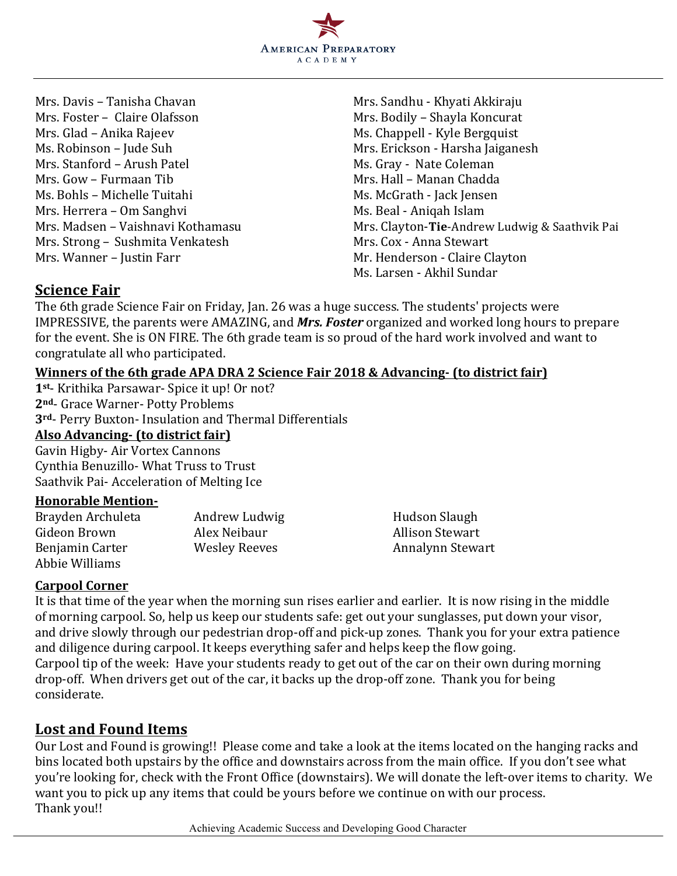

Mrs. Foster – Claire Olafsson Mrs. Bodily – Shayla Koncurat Mrs. Glad – Anika Rajeev Ms. Chappell - Kyle Bergquist Ms. Robinson – Jude Suh Mrs. Erickson - Harsha Jaiganesh Mrs. Stanford – Arush Patel Ms. Gray - Nate Coleman Mrs. Gow – Furmaan Tib Mrs. Hall – Manan Chadda Ms. Bohls – Michelle Tuitahi Ms. McGrath - Jack Jensen Mrs. Herrera – Om Sanghvi Ms. Beal - Aniqah Islam Mrs. Strong – Sushmita Venkatesh Mrs. Cox - Anna Stewart Mrs. Wanner – Justin Farr Mr. Henderson - Claire Clayton

Mrs. Davis – Tanisha Chavan Mrs. Sandhu - Khyati Akkiraju Mrs. Madsen – Vaishnavi Kothamasu Mrs. Clayton-**Tie**-Andrew Ludwig & Saathvik Pai Ms. Larsen - Akhil Sundar

### **Science Fair**

The 6th grade Science Fair on Friday, Jan. 26 was a huge success. The students' projects were IMPRESSIVE, the parents were AMAZING, and *Mrs. Foster* organized and worked long hours to prepare for the event. She is ON FIRE. The 6th grade team is so proud of the hard work involved and want to congratulate all who participated.

#### **Winners of the 6th grade APA DRA 2 Science Fair 2018 & Advancing- (to district fair)**

1<sup>st</sup>- Krithika Parsawar- Spice it up! Or not? 2<sup>nd</sup>- Grace Warner- Potty Problems 3<sup>rd</sup>- Perry Buxton- Insulation and Thermal Differentials **Also Advancing- (to district fair)** Gavin Higby- Air Vortex Cannons Cynthia Benuzillo- What Truss to Trust Saathvik Pai- Acceleration of Melting Ice

#### **Honorable Mention-**

| Brayden Archuleta | Andrew Ludwig | Hudson Slaugh          |
|-------------------|---------------|------------------------|
| Gideon Brown      | Alex Neibaur  | <b>Allison Stewart</b> |
| Benjamin Carter   | Wesley Reeves | Annalynn Stewart       |
| Abbie Williams    |               |                        |

#### **Carpool Corner**

It is that time of the year when the morning sun rises earlier and earlier. It is now rising in the middle of morning carpool. So, help us keep our students safe: get out your sunglasses, put down your visor, and drive slowly through our pedestrian drop-off and pick-up zones. Thank you for your extra patience and diligence during carpool. It keeps everything safer and helps keep the flow going. Carpool tip of the week: Have your students ready to get out of the car on their own during morning drop-off. When drivers get out of the car, it backs up the drop-off zone. Thank you for being considerate.

### Lost and Found Items

Our Lost and Found is growing!! Please come and take a look at the items located on the hanging racks and bins located both upstairs by the office and downstairs across from the main office. If you don't see what you're looking for, check with the Front Office (downstairs). We will donate the left-over items to charity. We want you to pick up any items that could be yours before we continue on with our process. Thank you!!

Achieving Academic Success and Developing Good Character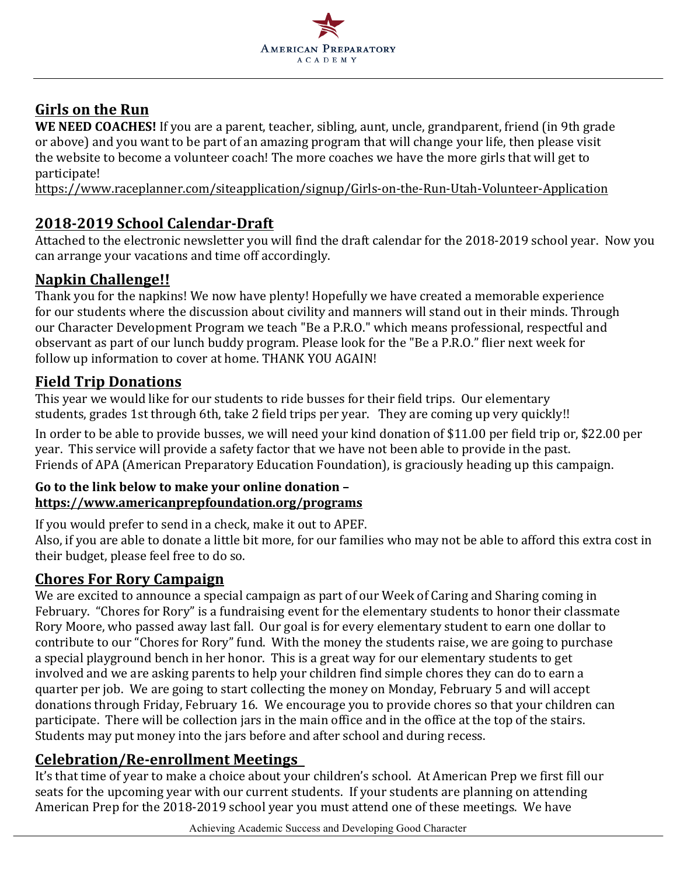

# **Girls on the Run**

WE NEED COACHES! If you are a parent, teacher, sibling, aunt, uncle, grandparent, friend (in 9th grade or above) and you want to be part of an amazing program that will change your life, then please visit the website to become a volunteer coach! The more coaches we have the more girls that will get to participate!

https://www.raceplanner.com/siteapplication/signup/Girls-on-the-Run-Utah-Volunteer-Application

## **2018-2019 School Calendar-Draft**

Attached to the electronic newsletter you will find the draft calendar for the 2018-2019 school year. Now you can arrange your vacations and time off accordingly.

### **Napkin Challenge!!**

Thank you for the napkins! We now have plenty! Hopefully we have created a memorable experience for our students where the discussion about civility and manners will stand out in their minds. Through our Character Development Program we teach "Be a P.R.O." which means professional, respectful and observant as part of our lunch buddy program. Please look for the "Be a P.R.O." flier next week for follow up information to cover at home. THANK YOU AGAIN!

## **Field Trip Donations**

This year we would like for our students to ride busses for their field trips. Our elementary students, grades 1st through 6th, take 2 field trips per year. They are coming up very quickly!!

In order to be able to provide busses, we will need your kind donation of \$11.00 per field trip or, \$22.00 per year. This service will provide a safety factor that we have not been able to provide in the past. Friends of APA (American Preparatory Education Foundation), is graciously heading up this campaign.

#### Go to the link below to make your online donation **https://www.americanprepfoundation.org/programs**

If you would prefer to send in a check, make it out to APEF.

Also, if you are able to donate a little bit more, for our families who may not be able to afford this extra cost in their budget, please feel free to do so.

## **Chores For Rory Campaign**

We are excited to announce a special campaign as part of our Week of Caring and Sharing coming in February. "Chores for Rory" is a fundraising event for the elementary students to honor their classmate Rory Moore, who passed away last fall. Our goal is for every elementary student to earn one dollar to contribute to our "Chores for Rory" fund. With the money the students raise, we are going to purchase a special playground bench in her honor. This is a great way for our elementary students to get involved and we are asking parents to help your children find simple chores they can do to earn a quarter per job. We are going to start collecting the money on Monday, February 5 and will accept donations through Friday, February 16. We encourage you to provide chores so that your children can participate. There will be collection jars in the main office and in the office at the top of the stairs. Students may put money into the jars before and after school and during recess.

## **Celebration/Re-enrollment Meetings**

It's that time of year to make a choice about your children's school. At American Prep we first fill our seats for the upcoming year with our current students. If your students are planning on attending American Prep for the 2018-2019 school year you must attend one of these meetings. We have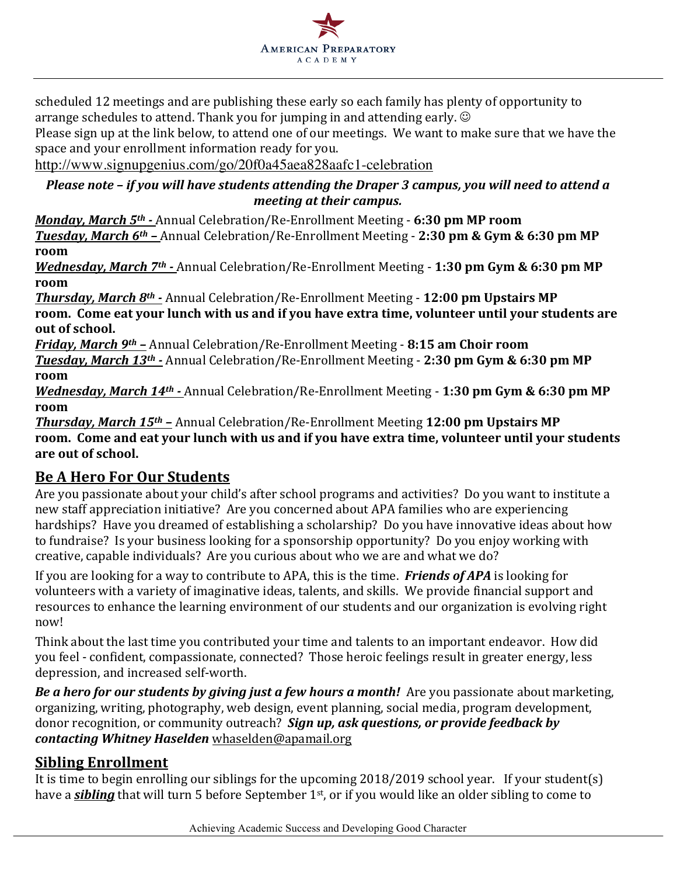

scheduled 12 meetings and are publishing these early so each family has plenty of opportunity to arrange schedules to attend. Thank you for jumping in and attending early.  $\odot$ 

Please sign up at the link below, to attend one of our meetings. We want to make sure that we have the space and your enrollment information ready for you.

http://www.signupgenius.com/go/20f0a45aea828aafc1-celebration

#### *Please note - if you will have students attending the Draper 3 campus, you will need to attend a meeting at their campus.*

*Monday, March* 5<sup>th</sup> - Annual Celebration/Re-Enrollment Meeting - 6:30 pm MP room *Tuesday, March 6<sup>th</sup> - Annual Celebration/Re-Enrollment Meeting - 2:30 pm & Gym & 6:30 pm MP* **room**

*Wednesday, March 7<sup>th</sup> - Annual Celebration/Re-Enrollment Meeting - 1:30 pm Gym & 6:30 pm MP* **room**

**Thursday, March 8th -** Annual Celebration/Re-Enrollment Meeting - 12:00 pm Upstairs MP **room.** Come eat your lunch with us and if you have extra time, volunteer until your students are out of school.

*Friday, March 9<sup>th</sup> - Annual Celebration/Re-Enrollment Meeting - 8:15 am Choir room Tuesday, March* 13<sup>th</sup> - Annual Celebration/Re-Enrollment Meeting - 2:30 pm Gym & 6:30 pm MP **room**

*Wednesday, March* 14<sup>th</sup> - Annual Celebration/Re-Enrollment Meeting - 1:30 pm Gym & 6:30 pm MP **room**

**Thursday, March 15th - Annual Celebration/Re-Enrollment Meeting 12:00 pm Upstairs MP** room. Come and eat your lunch with us and if you have extra time, volunteer until your students are out of school.

## **Be A Hero For Our Students**

Are you passionate about your child's after school programs and activities? Do you want to institute a new staff appreciation initiative? Are you concerned about APA families who are experiencing hardships? Have you dreamed of establishing a scholarship? Do you have innovative ideas about how to fundraise? Is your business looking for a sponsorship opportunity? Do you enjoy working with creative, capable individuals? Are you curious about who we are and what we do?

If you are looking for a way to contribute to APA, this is the time. *Friends of APA* is looking for volunteers with a variety of imaginative ideas, talents, and skills. We provide financial support and resources to enhance the learning environment of our students and our organization is evolving right now!

Think about the last time you contributed your time and talents to an important endeavor. How did you feel - confident, compassionate, connected? Those heroic feelings result in greater energy, less depression, and increased self-worth.

*Be* a hero for our students by giving just a few hours a month! Are you passionate about marketing, organizing, writing, photography, web design, event planning, social media, program development, donor recognition, or community outreach? *Sign up, ask questions, or provide feedback by contacting Whitney Haselden* whaselden@apamail.org

## **Sibling Enrollment**

It is time to begin enrolling our siblings for the upcoming  $2018/2019$  school year. If your student(s) have a *sibling* that will turn 5 before September 1<sup>st</sup>, or if you would like an older sibling to come to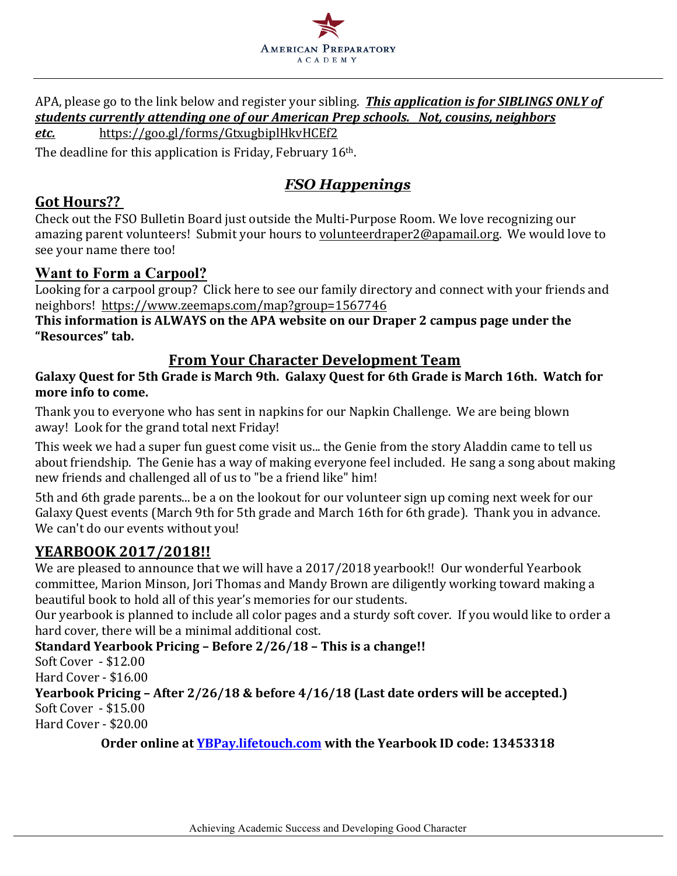

APA, please go to the link below and register your sibling. **This application is for SIBLINGS ONLY of** students currently attending one of our American Prep schools. Not, cousins, neighbors *etc.*  https://goo.gl/forms/GtxugbiplHkvHCEf2

The deadline for this application is Friday, February  $16<sup>th</sup>$ .

## *FSO Happenings*

### **Got Hours??**

Check out the FSO Bulletin Board just outside the Multi-Purpose Room. We love recognizing our amazing parent volunteers! Submit your hours to volunteerdraper2@apamail.org. We would love to see your name there too!

#### **Want to Form a Carpool?**

Looking for a carpool group? Click here to see our family directory and connect with your friends and neighbors! https://www.zeemaps.com/map?group=1567746

This information is ALWAYS on the APA website on our Draper 2 campus page under the **"Resources" tab.**

### **From Your Character Development Team**

Galaxy Quest for 5th Grade is March 9th. Galaxy Quest for 6th Grade is March 16th. Watch for more info to come.

Thank you to everyone who has sent in napkins for our Napkin Challenge. We are being blown away! Look for the grand total next Friday!

This week we had a super fun guest come visit us... the Genie from the story Aladdin came to tell us about friendship. The Genie has a way of making everyone feel included. He sang a song about making new friends and challenged all of us to "be a friend like" him!

5th and 6th grade parents... be a on the lookout for our volunteer sign up coming next week for our Galaxy Quest events (March 9th for 5th grade and March 16th for 6th grade). Thank you in advance. We can't do our events without you!

## **YEARBOOK 2017/2018!!**

We are pleased to announce that we will have a 2017/2018 yearbook!! Our wonderful Yearbook committee, Marion Minson, Jori Thomas and Mandy Brown are diligently working toward making a beautiful book to hold all of this year's memories for our students.

Our yearbook is planned to include all color pages and a sturdy soft cover. If you would like to order a hard cover, there will be a minimal additional cost.

#### **Standard Yearbook Pricing – Before 2/26/18 – This is a change!!**

Soft Cover - \$12.00

Hard Cover - \$16.00

## **Yearbook Pricing - After 2/26/18 & before 4/16/18 (Last date orders will be accepted.)**

Soft Cover - \$15.00 Hard Cover - \$20.00

**Order online at YBPay.lifetouch.com** with the Yearbook ID code: 13453318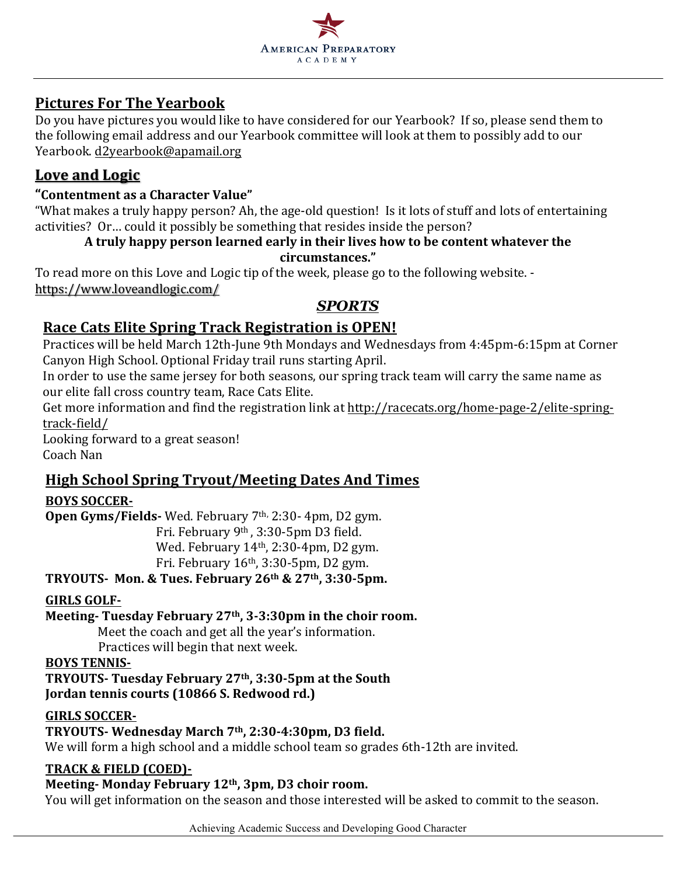

### **Pictures For The Yearbook**

Do you have pictures you would like to have considered for our Yearbook? If so, please send them to the following email address and our Yearbook committee will look at them to possibly add to our Yearbook. d2yearbook@apamail.org

## Love and Logic

#### **"Contentment as a Character Value"**

"What makes a truly happy person? Ah, the age-old question! Is it lots of stuff and lots of entertaining activities? Or... could it possibly be something that resides inside the person?

#### A truly happy person learned early in their lives how to be content whatever the **circumstances."**

To read more on this Love and Logic tip of the week, please go to the following website. https://www.loveandlogic.com/

## *SPORTS*

## **Race Cats Elite Spring Track Registration is OPEN!**

Practices will be held March 12th-June 9th Mondays and Wednesdays from 4:45pm-6:15pm at Corner Canyon High School. Optional Friday trail runs starting April.

In order to use the same jersey for both seasons, our spring track team will carry the same name as our elite fall cross country team, Race Cats Elite.

Get more information and find the registration link at http://racecats.org/home-page-2/elite-springtrack-field/

Looking forward to a great season! Coach Nan

## **High School Spring Tryout/Meeting Dates And Times**

#### **BOYS SOCCER-**

**Open Gyms/Fields-** Wed. February 7<sup>th,</sup> 2:30- 4pm, D2 gym.

Fri. February 9<sup>th</sup>, 3:30-5pm D3 field.

Wed. February  $14<sup>th</sup>$ , 2:30-4pm, D2 gym.

Fri. February  $16<sup>th</sup>$ , 3:30-5pm, D2 gym.

**TRYOUTS- Mon. & Tues. February 26th & 27th, 3:30-5pm.**

#### **GIRLS GOLF-**

Meeting-Tuesday February 27<sup>th</sup>, 3-3:30pm in the choir room.

Meet the coach and get all the year's information.

Practices will begin that next week.

#### **BOYS TENNIS-**

**TRYOUTS- Tuesday February 27th, 3:30-5pm at the South Jordan tennis courts (10866 S. Redwood rd.)** 

#### **GIRLS SOCCER-**

### **TRYOUTS- Wednesday March 7th, 2:30-4:30pm, D3 field.**

We will form a high school and a middle school team so grades 6th-12th are invited.

#### **TRACK & FIELD (COED)-**

## Meeting- Monday February 12<sup>th</sup>, 3pm, D3 choir room.

You will get information on the season and those interested will be asked to commit to the season.